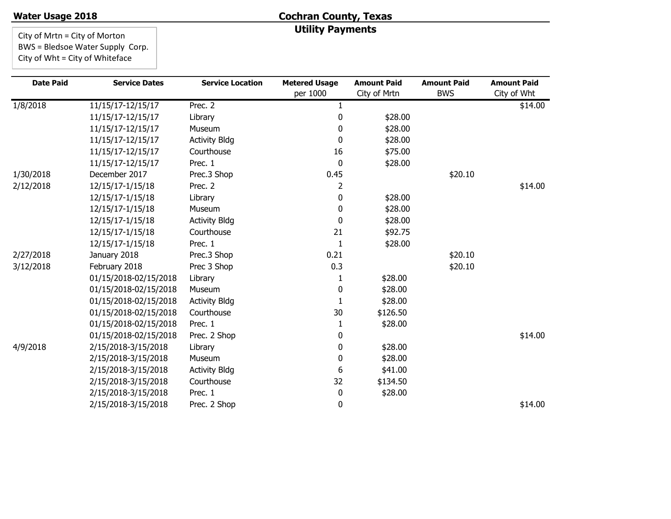#### **Water Usage 2018**

# **Cochran County, Texas Utility Payments**

City of Mrtn = City of Morton BWS = Bledsoe Water Supply Corp. City of Wht = City of Whiteface

| <b>Date Paid</b> | <b>Service Dates</b>  | <b>Service Location</b> | <b>Metered Usage</b> | <b>Amount Paid</b> | <b>Amount Paid</b> | <b>Amount Paid</b> |
|------------------|-----------------------|-------------------------|----------------------|--------------------|--------------------|--------------------|
|                  |                       |                         | per 1000             | City of Mrtn       | <b>BWS</b>         | City of Wht        |
| 1/8/2018         | 11/15/17-12/15/17     | Prec. 2                 | 1                    |                    |                    | \$14.00            |
|                  | 11/15/17-12/15/17     | Library                 | 0                    | \$28.00            |                    |                    |
|                  | 11/15/17-12/15/17     | Museum                  | 0                    | \$28.00            |                    |                    |
|                  | 11/15/17-12/15/17     | <b>Activity Bldg</b>    | 0                    | \$28.00            |                    |                    |
|                  | 11/15/17-12/15/17     | Courthouse              | 16                   | \$75.00            |                    |                    |
|                  | 11/15/17-12/15/17     | Prec. 1                 | 0                    | \$28.00            |                    |                    |
| 1/30/2018        | December 2017         | Prec.3 Shop             | 0.45                 |                    | \$20.10            |                    |
| 2/12/2018        | 12/15/17-1/15/18      | Prec. 2                 | 2                    |                    |                    | \$14.00            |
|                  | 12/15/17-1/15/18      | Library                 | 0                    | \$28.00            |                    |                    |
|                  | 12/15/17-1/15/18      | Museum                  | 0                    | \$28.00            |                    |                    |
|                  | 12/15/17-1/15/18      | <b>Activity Bldg</b>    | 0                    | \$28.00            |                    |                    |
|                  | 12/15/17-1/15/18      | Courthouse              | 21                   | \$92.75            |                    |                    |
|                  | 12/15/17-1/15/18      | Prec. 1                 |                      | \$28.00            |                    |                    |
| 2/27/2018        | January 2018          | Prec.3 Shop             | 0.21                 |                    | \$20.10            |                    |
| 3/12/2018        | February 2018         | Prec 3 Shop             | 0.3                  |                    | \$20.10            |                    |
|                  | 01/15/2018-02/15/2018 | Library                 | 1                    | \$28.00            |                    |                    |
|                  | 01/15/2018-02/15/2018 | Museum                  | 0                    | \$28.00            |                    |                    |
|                  | 01/15/2018-02/15/2018 | <b>Activity Bldg</b>    | 1                    | \$28.00            |                    |                    |
|                  | 01/15/2018-02/15/2018 | Courthouse              | 30                   | \$126.50           |                    |                    |
|                  | 01/15/2018-02/15/2018 | Prec. 1                 |                      | \$28.00            |                    |                    |
|                  | 01/15/2018-02/15/2018 | Prec. 2 Shop            | 0                    |                    |                    | \$14.00            |
| 4/9/2018         | 2/15/2018-3/15/2018   | Library                 | 0                    | \$28.00            |                    |                    |
|                  | 2/15/2018-3/15/2018   | Museum                  | 0                    | \$28.00            |                    |                    |
|                  | 2/15/2018-3/15/2018   | <b>Activity Bldg</b>    | 6                    | \$41.00            |                    |                    |
|                  | 2/15/2018-3/15/2018   | Courthouse              | 32                   | \$134.50           |                    |                    |
|                  | 2/15/2018-3/15/2018   | Prec. 1                 | 0                    | \$28.00            |                    |                    |
|                  | 2/15/2018-3/15/2018   | Prec. 2 Shop            | 0                    |                    |                    | \$14.00            |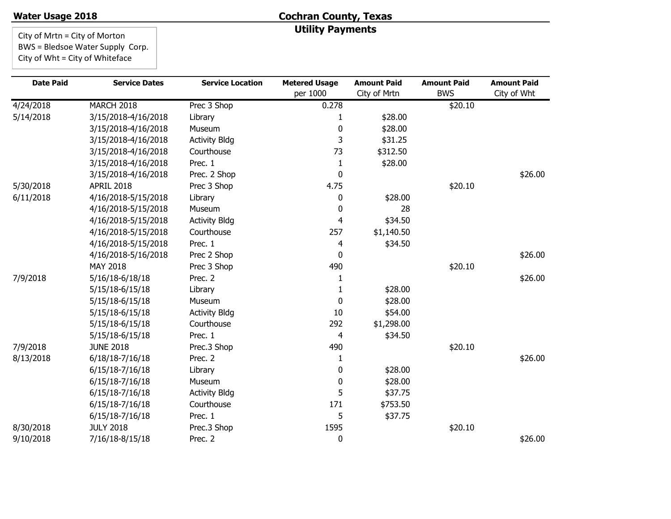#### **Water Usage 2018**

# **Cochran County, Texas Utility Payments**

City of Mrtn = City of Morton BWS = Bledsoe Water Supply Corp. City of Wht = City of Whiteface

| <b>Date Paid</b> | <b>Service Dates</b> | <b>Service Location</b> | <b>Metered Usage</b><br>per 1000 | <b>Amount Paid</b> | <b>Amount Paid</b><br><b>BWS</b> | <b>Amount Paid</b> |
|------------------|----------------------|-------------------------|----------------------------------|--------------------|----------------------------------|--------------------|
|                  |                      |                         |                                  | City of Mrtn       |                                  | City of Wht        |
| 4/24/2018        | <b>MARCH 2018</b>    | Prec 3 Shop             | 0.278                            |                    | \$20.10                          |                    |
| 5/14/2018        | 3/15/2018-4/16/2018  | Library                 | 1                                | \$28.00            |                                  |                    |
|                  | 3/15/2018-4/16/2018  | Museum                  | 0                                | \$28.00            |                                  |                    |
|                  | 3/15/2018-4/16/2018  | <b>Activity Bldg</b>    | 3                                | \$31.25            |                                  |                    |
|                  | 3/15/2018-4/16/2018  | Courthouse              | 73                               | \$312.50           |                                  |                    |
|                  | 3/15/2018-4/16/2018  | Prec. 1                 | 1                                | \$28.00            |                                  |                    |
|                  | 3/15/2018-4/16/2018  | Prec. 2 Shop            | 0                                |                    |                                  | \$26.00            |
| 5/30/2018        | <b>APRIL 2018</b>    | Prec 3 Shop             | 4.75                             |                    | \$20.10                          |                    |
| 6/11/2018        | 4/16/2018-5/15/2018  | Library                 | 0                                | \$28.00            |                                  |                    |
|                  | 4/16/2018-5/15/2018  | Museum                  | 0                                | 28                 |                                  |                    |
|                  | 4/16/2018-5/15/2018  | <b>Activity Bldg</b>    | 4                                | \$34.50            |                                  |                    |
|                  | 4/16/2018-5/15/2018  | Courthouse              | 257                              | \$1,140.50         |                                  |                    |
|                  | 4/16/2018-5/15/2018  | Prec. 1                 | 4                                | \$34.50            |                                  |                    |
|                  | 4/16/2018-5/16/2018  | Prec 2 Shop             | 0                                |                    |                                  | \$26.00            |
|                  | MAY 2018             | Prec 3 Shop             | 490                              |                    | \$20.10                          |                    |
| 7/9/2018         | 5/16/18-6/18/18      | Prec. 2                 | 1                                |                    |                                  | \$26.00            |
|                  | $5/15/18-6/15/18$    | Library                 | 1                                | \$28.00            |                                  |                    |
|                  | 5/15/18-6/15/18      | Museum                  | 0                                | \$28.00            |                                  |                    |
|                  | 5/15/18-6/15/18      | <b>Activity Bldg</b>    | 10                               | \$54.00            |                                  |                    |
|                  | 5/15/18-6/15/18      | Courthouse              | 292                              | \$1,298.00         |                                  |                    |
|                  | 5/15/18-6/15/18      | Prec. 1                 | 4                                | \$34.50            |                                  |                    |
| 7/9/2018         | <b>JUNE 2018</b>     | Prec.3 Shop             | 490                              |                    | \$20.10                          |                    |
| 8/13/2018        | 6/18/18-7/16/18      | Prec. 2                 | 1                                |                    |                                  | \$26.00            |
|                  | $6/15/18-7/16/18$    | Library                 | 0                                | \$28.00            |                                  |                    |
|                  | 6/15/18-7/16/18      | Museum                  | 0                                | \$28.00            |                                  |                    |
|                  | 6/15/18-7/16/18      | <b>Activity Bldg</b>    | 5                                | \$37.75            |                                  |                    |
|                  | 6/15/18-7/16/18      | Courthouse              | 171                              | \$753.50           |                                  |                    |
|                  | 6/15/18-7/16/18      | Prec. 1                 | 5                                | \$37.75            |                                  |                    |
| 8/30/2018        | <b>JULY 2018</b>     | Prec.3 Shop             | 1595                             |                    | \$20.10                          |                    |
| 9/10/2018        | 7/16/18-8/15/18      | Prec. 2                 | $\mathbf 0$                      |                    |                                  | \$26.00            |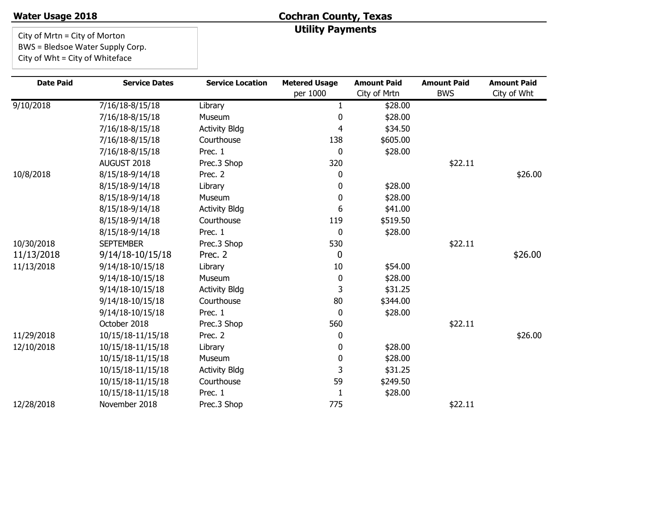#### **Water Usage 2018**

# **Cochran County, Texas Utility Payments**

City of Mrtn = City of Morton BWS = Bledsoe Water Supply Corp.

City of Wht = City of Whiteface

| <b>Date Paid</b> | <b>Service Dates</b> | <b>Service Location</b> | <b>Metered Usage</b> | <b>Amount Paid</b> | <b>Amount Paid</b> | <b>Amount Paid</b> |
|------------------|----------------------|-------------------------|----------------------|--------------------|--------------------|--------------------|
|                  |                      |                         | per 1000             | City of Mrtn       | <b>BWS</b>         | City of Wht        |
| 9/10/2018        | 7/16/18-8/15/18      | Library                 | $\mathbf{1}$         | \$28.00            |                    |                    |
|                  | 7/16/18-8/15/18      | Museum                  | $\Omega$             | \$28.00            |                    |                    |
|                  | 7/16/18-8/15/18      | <b>Activity Bldg</b>    | 4                    | \$34.50            |                    |                    |
|                  | 7/16/18-8/15/18      | Courthouse              | 138                  | \$605.00           |                    |                    |
|                  | 7/16/18-8/15/18      | Prec. 1                 | 0                    | \$28.00            |                    |                    |
|                  | AUGUST 2018          | Prec.3 Shop             | 320                  |                    | \$22.11            |                    |
| 10/8/2018        | 8/15/18-9/14/18      | Prec. 2                 | 0                    |                    |                    | \$26.00            |
|                  | 8/15/18-9/14/18      | Library                 | 0                    | \$28.00            |                    |                    |
|                  | 8/15/18-9/14/18      | Museum                  | $\Omega$             | \$28.00            |                    |                    |
|                  | 8/15/18-9/14/18      | <b>Activity Bldg</b>    | 6                    | \$41.00            |                    |                    |
|                  | 8/15/18-9/14/18      | Courthouse              | 119                  | \$519.50           |                    |                    |
|                  | 8/15/18-9/14/18      | Prec. 1                 | 0                    | \$28.00            |                    |                    |
| 10/30/2018       | <b>SEPTEMBER</b>     | Prec.3 Shop             | 530                  |                    | \$22.11            |                    |
| 11/13/2018       | 9/14/18-10/15/18     | Prec. 2                 | 0                    |                    |                    | \$26.00            |
| 11/13/2018       | 9/14/18-10/15/18     | Library                 | 10                   | \$54.00            |                    |                    |
|                  | 9/14/18-10/15/18     | Museum                  | 0                    | \$28.00            |                    |                    |
|                  | 9/14/18-10/15/18     | <b>Activity Bldg</b>    | 3                    | \$31.25            |                    |                    |
|                  | 9/14/18-10/15/18     | Courthouse              | 80                   | \$344.00           |                    |                    |
|                  | 9/14/18-10/15/18     | Prec. 1                 | $\mathbf{0}$         | \$28.00            |                    |                    |
|                  | October 2018         | Prec.3 Shop             | 560                  |                    | \$22.11            |                    |
| 11/29/2018       | 10/15/18-11/15/18    | Prec. 2                 | 0                    |                    |                    | \$26.00            |
| 12/10/2018       | 10/15/18-11/15/18    | Library                 | 0                    | \$28.00            |                    |                    |
|                  | 10/15/18-11/15/18    | Museum                  | 0                    | \$28.00            |                    |                    |
|                  | 10/15/18-11/15/18    | <b>Activity Bldg</b>    | 3                    | \$31.25            |                    |                    |
|                  | 10/15/18-11/15/18    | Courthouse              | 59                   | \$249.50           |                    |                    |
|                  | 10/15/18-11/15/18    | Prec. 1                 | 1                    | \$28.00            |                    |                    |
| 12/28/2018       | November 2018        | Prec.3 Shop             | 775                  |                    | \$22.11            |                    |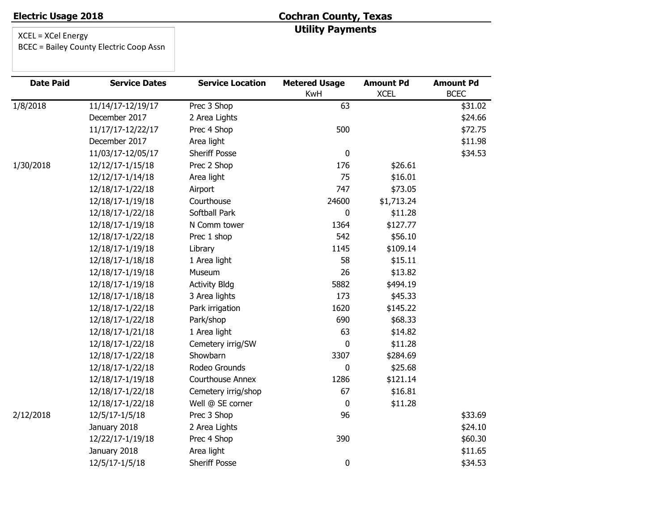# **Cochran County, Texas Utility Payments**

| <b>Date Paid</b>      | <b>Service Dates</b> | <b>Service Location</b> | <b>Metered Usage</b><br>KwH | <b>Amount Pd</b><br><b>XCEL</b> | <b>Amount Pd</b><br><b>BCEC</b> |
|-----------------------|----------------------|-------------------------|-----------------------------|---------------------------------|---------------------------------|
| $1/\overline{8}/2018$ | 11/14/17-12/19/17    | Prec 3 Shop             | 63                          |                                 | \$31.02                         |
|                       | December 2017        | 2 Area Lights           |                             |                                 | \$24.66                         |
|                       | 11/17/17-12/22/17    | Prec 4 Shop             | 500                         |                                 | \$72.75                         |
|                       | December 2017        | Area light              |                             |                                 | \$11.98                         |
|                       | 11/03/17-12/05/17    | <b>Sheriff Posse</b>    | $\mathbf 0$                 |                                 | \$34.53                         |
| 1/30/2018             | 12/12/17-1/15/18     | Prec 2 Shop             | 176                         | \$26.61                         |                                 |
|                       | 12/12/17-1/14/18     | Area light              | 75                          | \$16.01                         |                                 |
|                       | 12/18/17-1/22/18     | Airport                 | 747                         | \$73.05                         |                                 |
|                       | 12/18/17-1/19/18     | Courthouse              | 24600                       | \$1,713.24                      |                                 |
|                       | 12/18/17-1/22/18     | Softball Park           | 0                           | \$11.28                         |                                 |
|                       | 12/18/17-1/19/18     | N Comm tower            | 1364                        | \$127.77                        |                                 |
|                       | 12/18/17-1/22/18     | Prec 1 shop             | 542                         | \$56.10                         |                                 |
|                       | 12/18/17-1/19/18     | Library                 | 1145                        | \$109.14                        |                                 |
|                       | 12/18/17-1/18/18     | 1 Area light            | 58                          | \$15.11                         |                                 |
|                       | 12/18/17-1/19/18     | Museum                  | 26                          | \$13.82                         |                                 |
|                       | 12/18/17-1/19/18     | <b>Activity Bldg</b>    | 5882                        | \$494.19                        |                                 |
|                       | 12/18/17-1/18/18     | 3 Area lights           | 173                         | \$45.33                         |                                 |
|                       | 12/18/17-1/22/18     | Park irrigation         | 1620                        | \$145.22                        |                                 |
|                       | 12/18/17-1/22/18     | Park/shop               | 690                         | \$68.33                         |                                 |
|                       | 12/18/17-1/21/18     | 1 Area light            | 63                          | \$14.82                         |                                 |
|                       | 12/18/17-1/22/18     | Cemetery irrig/SW       | $\mathbf 0$                 | \$11.28                         |                                 |
|                       | 12/18/17-1/22/18     | Showbarn                | 3307                        | \$284.69                        |                                 |
|                       | 12/18/17-1/22/18     | Rodeo Grounds           | 0                           | \$25.68                         |                                 |
|                       | 12/18/17-1/19/18     | Courthouse Annex        | 1286                        | \$121.14                        |                                 |
|                       | 12/18/17-1/22/18     | Cemetery irrig/shop     | 67                          | \$16.81                         |                                 |
|                       | 12/18/17-1/22/18     | Well @ SE corner        | 0                           | \$11.28                         |                                 |
| 2/12/2018             | 12/5/17-1/5/18       | Prec 3 Shop             | 96                          |                                 | \$33.69                         |
|                       | January 2018         | 2 Area Lights           |                             |                                 | \$24.10                         |
|                       | 12/22/17-1/19/18     | Prec 4 Shop             | 390                         |                                 | \$60.30                         |
|                       | January 2018         | Area light              |                             |                                 | \$11.65                         |
|                       | 12/5/17-1/5/18       | <b>Sheriff Posse</b>    | 0                           |                                 | \$34.53                         |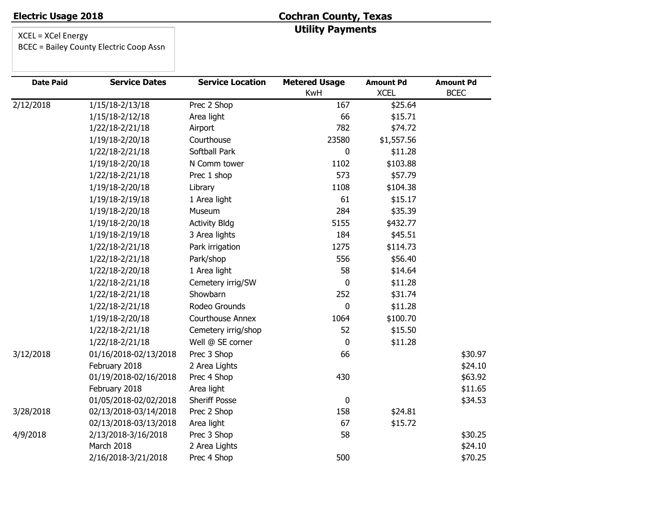# **Cochran County, Texas Utility Payments**

XCEL = XCel Energy

BCEC = Bailey County Electric Coop Assn

| <b>Date Paid</b> | <b>Service Dates</b>  | <b>Service Location</b> | <b>Metered Usage</b><br>KwH | <b>Amount Pd</b><br><b>XCEL</b> | <b>Amount Pd</b><br><b>BCEC</b> |
|------------------|-----------------------|-------------------------|-----------------------------|---------------------------------|---------------------------------|
| 2/12/2018        | $1/15/18 - 2/13/18$   | Prec 2 Shop             | 167                         | \$25.64                         |                                 |
|                  | 1/15/18-2/12/18       | Area light              | 66                          | \$15.71                         |                                 |
|                  | 1/22/18-2/21/18       | Airport                 | 782                         | \$74.72                         |                                 |
|                  | 1/19/18-2/20/18       | Courthouse              | 23580                       | \$1,557.56                      |                                 |
|                  | 1/22/18-2/21/18       | Softball Park           | 0                           | \$11.28                         |                                 |
|                  | 1/19/18-2/20/18       | N Comm tower            | 1102                        | \$103.88                        |                                 |
|                  | 1/22/18-2/21/18       | Prec 1 shop             | 573                         | \$57.79                         |                                 |
|                  | 1/19/18-2/20/18       | Library                 | 1108                        | \$104.38                        |                                 |
|                  | 1/19/18-2/19/18       | 1 Area light            | 61                          | \$15.17                         |                                 |
|                  | 1/19/18-2/20/18       | Museum                  | 284                         | \$35.39                         |                                 |
|                  | 1/19/18-2/20/18       | <b>Activity Bldg</b>    | 5155                        | \$432.77                        |                                 |
|                  | 1/19/18-2/19/18       | 3 Area lights           | 184                         | \$45.51                         |                                 |
|                  | 1/22/18-2/21/18       | Park irrigation         | 1275                        | \$114.73                        |                                 |
|                  | 1/22/18-2/21/18       | Park/shop               | 556                         | \$56.40                         |                                 |
|                  | 1/22/18-2/20/18       | 1 Area light            | 58                          | \$14.64                         |                                 |
|                  | 1/22/18-2/21/18       | Cemetery irrig/SW       | 0                           | \$11.28                         |                                 |
|                  | 1/22/18-2/21/18       | Showbarn                | 252                         | \$31.74                         |                                 |
|                  | 1/22/18-2/21/18       | Rodeo Grounds           | 0                           | \$11.28                         |                                 |
|                  | 1/19/18-2/20/18       | Courthouse Annex        | 1064                        | \$100.70                        |                                 |
|                  | 1/22/18-2/21/18       | Cemetery irrig/shop     | 52                          | \$15.50                         |                                 |
|                  | 1/22/18-2/21/18       | Well @ SE corner        | 0                           | \$11.28                         |                                 |
| 3/12/2018        | 01/16/2018-02/13/2018 | Prec 3 Shop             | 66                          |                                 | \$30.97                         |
|                  | February 2018         | 2 Area Lights           |                             |                                 | \$24.10                         |
|                  | 01/19/2018-02/16/2018 | Prec 4 Shop             | 430                         |                                 | \$63.92                         |
|                  | February 2018         | Area light              |                             |                                 | \$11.65                         |
|                  | 01/05/2018-02/02/2018 | Sheriff Posse           | $\mathbf 0$                 |                                 | \$34.53                         |
| 3/28/2018        | 02/13/2018-03/14/2018 | Prec 2 Shop             | 158                         | \$24.81                         |                                 |
|                  | 02/13/2018-03/13/2018 | Area light              | 67                          | \$15.72                         |                                 |
| 4/9/2018         | 2/13/2018-3/16/2018   | Prec 3 Shop             | 58                          |                                 | \$30.25                         |
|                  | March 2018            | 2 Area Lights           |                             |                                 | \$24.10                         |
|                  | 2/16/2018-3/21/2018   | Prec 4 Shop             | 500                         |                                 | \$70.25                         |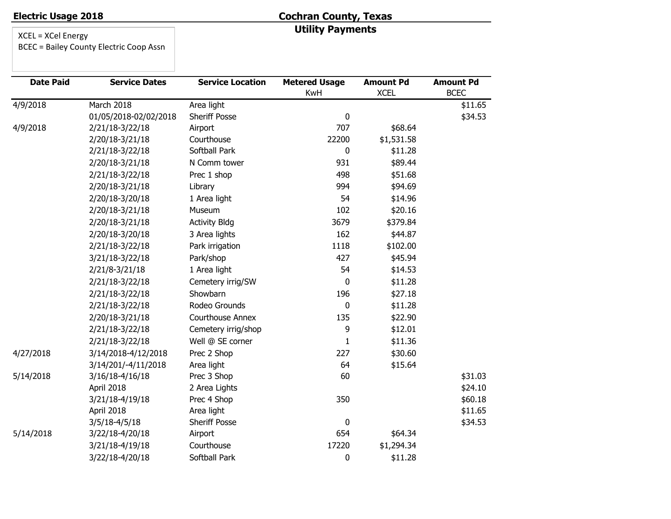# **Cochran County, Texas Utility Payments**

| <b>Date Paid</b> | <b>Service Dates</b>  | <b>Service Location</b> | <b>Metered Usage</b><br>KwH | <b>Amount Pd</b><br><b>XCEL</b> | <b>Amount Pd</b><br><b>BCEC</b> |
|------------------|-----------------------|-------------------------|-----------------------------|---------------------------------|---------------------------------|
| 4/9/2018         | March 2018            | Area light              |                             |                                 | \$11.65                         |
|                  | 01/05/2018-02/02/2018 | <b>Sheriff Posse</b>    | 0                           |                                 | \$34.53                         |
| 4/9/2018         | 2/21/18-3/22/18       | Airport                 | 707                         | \$68.64                         |                                 |
|                  | 2/20/18-3/21/18       | Courthouse              | 22200                       | \$1,531.58                      |                                 |
|                  | 2/21/18-3/22/18       | Softball Park           | 0                           | \$11.28                         |                                 |
|                  | 2/20/18-3/21/18       | N Comm tower            | 931                         | \$89.44                         |                                 |
|                  | 2/21/18-3/22/18       | Prec 1 shop             | 498                         | \$51.68                         |                                 |
|                  | 2/20/18-3/21/18       | Library                 | 994                         | \$94.69                         |                                 |
|                  | 2/20/18-3/20/18       | 1 Area light            | 54                          | \$14.96                         |                                 |
|                  | 2/20/18-3/21/18       | Museum                  | 102                         | \$20.16                         |                                 |
|                  | 2/20/18-3/21/18       | <b>Activity Bldg</b>    | 3679                        | \$379.84                        |                                 |
|                  | 2/20/18-3/20/18       | 3 Area lights           | 162                         | \$44.87                         |                                 |
|                  | 2/21/18-3/22/18       | Park irrigation         | 1118                        | \$102.00                        |                                 |
|                  | 3/21/18-3/22/18       | Park/shop               | 427                         | \$45.94                         |                                 |
|                  | 2/21/8-3/21/18        | 1 Area light            | 54                          | \$14.53                         |                                 |
|                  | 2/21/18-3/22/18       | Cemetery irrig/SW       | 0                           | \$11.28                         |                                 |
|                  | 2/21/18-3/22/18       | Showbarn                | 196                         | \$27.18                         |                                 |
|                  | 2/21/18-3/22/18       | Rodeo Grounds           | 0                           | \$11.28                         |                                 |
|                  | 2/20/18-3/21/18       | <b>Courthouse Annex</b> | 135                         | \$22.90                         |                                 |
|                  | 2/21/18-3/22/18       | Cemetery irrig/shop     | 9                           | \$12.01                         |                                 |
|                  | 2/21/18-3/22/18       | Well @ SE corner        | $\mathbf{1}$                | \$11.36                         |                                 |
| 4/27/2018        | 3/14/2018-4/12/2018   | Prec 2 Shop             | 227                         | \$30.60                         |                                 |
|                  | 3/14/201/-4/11/2018   | Area light              | 64                          | \$15.64                         |                                 |
| 5/14/2018        | 3/16/18-4/16/18       | Prec 3 Shop             | 60                          |                                 | \$31.03                         |
|                  | April 2018            | 2 Area Lights           |                             |                                 | \$24.10                         |
|                  | 3/21/18-4/19/18       | Prec 4 Shop             | 350                         |                                 | \$60.18                         |
|                  | April 2018            | Area light              |                             |                                 | \$11.65                         |
|                  | $3/5/18-4/5/18$       | <b>Sheriff Posse</b>    | $\mathbf 0$                 |                                 | \$34.53                         |
| 5/14/2018        | 3/22/18-4/20/18       | Airport                 | 654                         | \$64.34                         |                                 |
|                  | 3/21/18-4/19/18       | Courthouse              | 17220                       | \$1,294.34                      |                                 |
|                  | 3/22/18-4/20/18       | Softball Park           | $\pmb{0}$                   | \$11.28                         |                                 |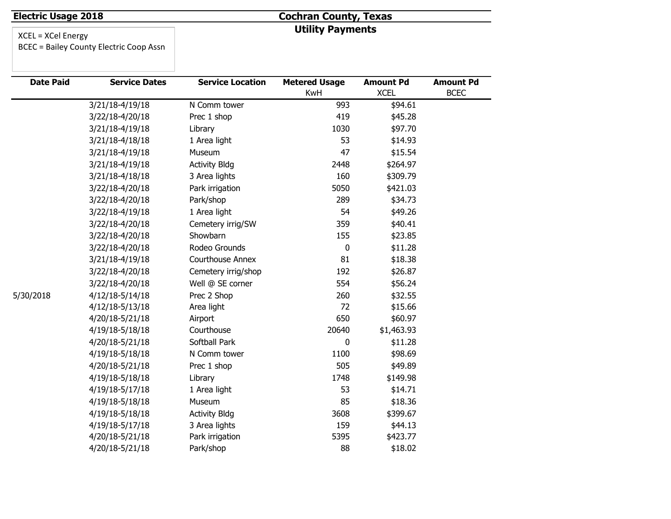# **Cochran County, Texas Utility Payments**

| <b>Date Paid</b> | <b>Service Dates</b> | <b>Service Location</b> | <b>Metered Usage</b> | <b>Amount Pd</b> | <b>Amount Pd</b> |
|------------------|----------------------|-------------------------|----------------------|------------------|------------------|
|                  |                      |                         | KwH                  | <b>XCEL</b>      | <b>BCEC</b>      |
|                  | 3/21/18-4/19/18      | N Comm tower            | 993                  | \$94.61          |                  |
|                  | 3/22/18-4/20/18      | Prec 1 shop             | 419                  | \$45.28          |                  |
|                  | 3/21/18-4/19/18      | Library                 | 1030                 | \$97.70          |                  |
|                  | 3/21/18-4/18/18      | 1 Area light            | 53                   | \$14.93          |                  |
|                  | 3/21/18-4/19/18      | Museum                  | 47                   | \$15.54          |                  |
|                  | 3/21/18-4/19/18      | <b>Activity Bldg</b>    | 2448                 | \$264.97         |                  |
|                  | 3/21/18-4/18/18      | 3 Area lights           | 160                  | \$309.79         |                  |
|                  | 3/22/18-4/20/18      | Park irrigation         | 5050                 | \$421.03         |                  |
|                  | 3/22/18-4/20/18      | Park/shop               | 289                  | \$34.73          |                  |
|                  | 3/22/18-4/19/18      | 1 Area light            | 54                   | \$49.26          |                  |
|                  | 3/22/18-4/20/18      | Cemetery irrig/SW       | 359                  | \$40.41          |                  |
|                  | 3/22/18-4/20/18      | Showbarn                | 155                  | \$23.85          |                  |
|                  | 3/22/18-4/20/18      | Rodeo Grounds           | 0                    | \$11.28          |                  |
|                  | 3/21/18-4/19/18      | Courthouse Annex        | 81                   | \$18.38          |                  |
|                  | 3/22/18-4/20/18      | Cemetery irrig/shop     | 192                  | \$26.87          |                  |
|                  | 3/22/18-4/20/18      | Well @ SE corner        | 554                  | \$56.24          |                  |
| 5/30/2018        | 4/12/18-5/14/18      | Prec 2 Shop             | 260                  | \$32.55          |                  |
|                  | 4/12/18-5/13/18      | Area light              | 72                   | \$15.66          |                  |
|                  | 4/20/18-5/21/18      | Airport                 | 650                  | \$60.97          |                  |
|                  | 4/19/18-5/18/18      | Courthouse              | 20640                | \$1,463.93       |                  |
|                  | 4/20/18-5/21/18      | Softball Park           | 0                    | \$11.28          |                  |
|                  | 4/19/18-5/18/18      | N Comm tower            | 1100                 | \$98.69          |                  |
|                  | 4/20/18-5/21/18      | Prec 1 shop             | 505                  | \$49.89          |                  |
|                  | 4/19/18-5/18/18      | Library                 | 1748                 | \$149.98         |                  |
|                  | 4/19/18-5/17/18      | 1 Area light            | 53                   | \$14.71          |                  |
|                  | 4/19/18-5/18/18      | Museum                  | 85                   | \$18.36          |                  |
|                  | 4/19/18-5/18/18      | <b>Activity Bldg</b>    | 3608                 | \$399.67         |                  |
|                  | 4/19/18-5/17/18      | 3 Area lights           | 159                  | \$44.13          |                  |
|                  | 4/20/18-5/21/18      | Park irrigation         | 5395                 | \$423.77         |                  |
|                  | 4/20/18-5/21/18      | Park/shop               | 88                   | \$18.02          |                  |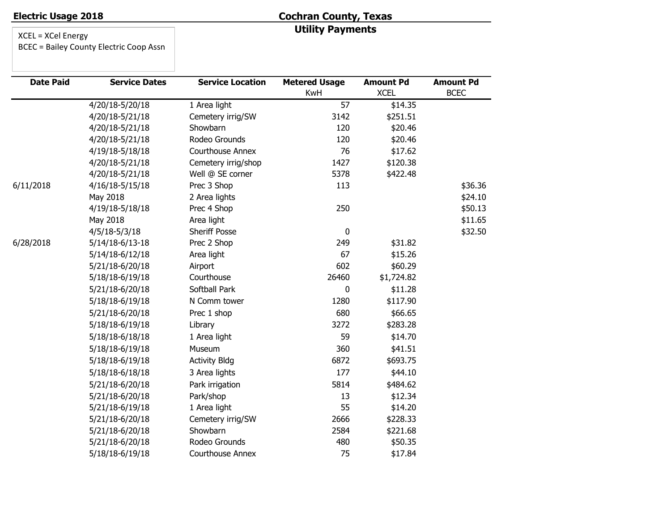# **Cochran County, Texas Utility Payments**

| <b>Date Paid</b> | <b>Service Dates</b> | <b>Service Location</b> | <b>Metered Usage</b> | <b>Amount Pd</b> | <b>Amount Pd</b> |
|------------------|----------------------|-------------------------|----------------------|------------------|------------------|
|                  |                      |                         | KwH                  | <b>XCEL</b>      | <b>BCEC</b>      |
|                  | 4/20/18-5/20/18      | 1 Area light            | 57                   | \$14.35          |                  |
|                  | 4/20/18-5/21/18      | Cemetery irrig/SW       | 3142                 | \$251.51         |                  |
|                  | 4/20/18-5/21/18      | Showbarn                | 120                  | \$20.46          |                  |
|                  | 4/20/18-5/21/18      | Rodeo Grounds           | 120                  | \$20.46          |                  |
|                  | 4/19/18-5/18/18      | <b>Courthouse Annex</b> | 76                   | \$17.62          |                  |
|                  | 4/20/18-5/21/18      | Cemetery irrig/shop     | 1427                 | \$120.38         |                  |
|                  | 4/20/18-5/21/18      | Well @ SE corner        | 5378                 | \$422.48         |                  |
| 6/11/2018        | 4/16/18-5/15/18      | Prec 3 Shop             | 113                  |                  | \$36.36          |
|                  | May 2018             | 2 Area lights           |                      |                  | \$24.10          |
|                  | 4/19/18-5/18/18      | Prec 4 Shop             | 250                  |                  | \$50.13          |
|                  | May 2018             | Area light              |                      |                  | \$11.65          |
|                  | $4/5/18-5/3/18$      | <b>Sheriff Posse</b>    | $\mathbf 0$          |                  | \$32.50          |
| 6/28/2018        | 5/14/18-6/13-18      | Prec 2 Shop             | 249                  | \$31.82          |                  |
|                  | 5/14/18-6/12/18      | Area light              | 67                   | \$15.26          |                  |
|                  | 5/21/18-6/20/18      | Airport                 | 602                  | \$60.29          |                  |
|                  | 5/18/18-6/19/18      | Courthouse              | 26460                | \$1,724.82       |                  |
|                  | 5/21/18-6/20/18      | Softball Park           | 0                    | \$11.28          |                  |
|                  | 5/18/18-6/19/18      | N Comm tower            | 1280                 | \$117.90         |                  |
|                  | 5/21/18-6/20/18      | Prec 1 shop             | 680                  | \$66.65          |                  |
|                  | 5/18/18-6/19/18      | Library                 | 3272                 | \$283.28         |                  |
|                  | 5/18/18-6/18/18      | 1 Area light            | 59                   | \$14.70          |                  |
|                  | 5/18/18-6/19/18      | Museum                  | 360                  | \$41.51          |                  |
|                  | 5/18/18-6/19/18      | <b>Activity Bldg</b>    | 6872                 | \$693.75         |                  |
|                  | 5/18/18-6/18/18      | 3 Area lights           | 177                  | \$44.10          |                  |
|                  | 5/21/18-6/20/18      | Park irrigation         | 5814                 | \$484.62         |                  |
|                  | 5/21/18-6/20/18      | Park/shop               | 13                   | \$12.34          |                  |
|                  | 5/21/18-6/19/18      | 1 Area light            | 55                   | \$14.20          |                  |
|                  | 5/21/18-6/20/18      | Cemetery irrig/SW       | 2666                 | \$228.33         |                  |
|                  | 5/21/18-6/20/18      | Showbarn                | 2584                 | \$221.68         |                  |
|                  | 5/21/18-6/20/18      | Rodeo Grounds           | 480                  | \$50.35          |                  |
|                  | 5/18/18-6/19/18      | <b>Courthouse Annex</b> | 75                   | \$17.84          |                  |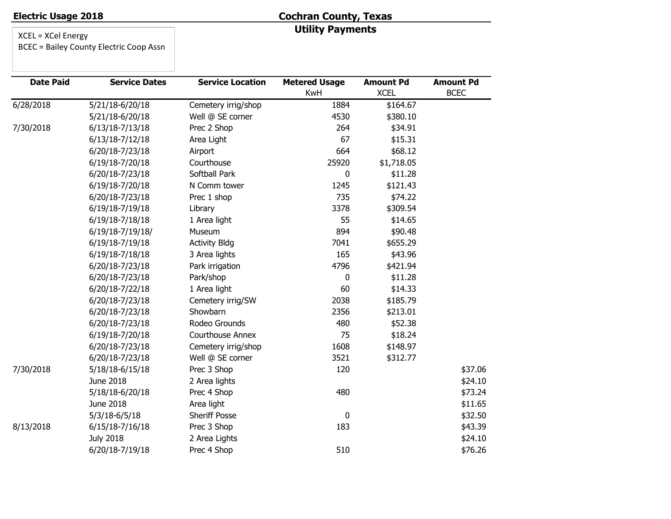# **Cochran County, Texas Utility Payments**

XCEL = XCel Energy

BCEC = Bailey County Electric Coop Assn

| <b>Date Paid</b> | <b>Service Dates</b> | <b>Service Location</b> | <b>Metered Usage</b><br>KwH | <b>Amount Pd</b><br><b>XCEL</b> | <b>Amount Pd</b><br><b>BCEC</b> |
|------------------|----------------------|-------------------------|-----------------------------|---------------------------------|---------------------------------|
| 6/28/2018        | 5/21/18-6/20/18      | Cemetery irrig/shop     | 1884                        | \$164.67                        |                                 |
|                  | 5/21/18-6/20/18      | Well @ SE corner        | 4530                        | \$380.10                        |                                 |
| 7/30/2018        | 6/13/18-7/13/18      | Prec 2 Shop             | 264                         | \$34.91                         |                                 |
|                  | 6/13/18-7/12/18      | Area Light              | 67                          | \$15.31                         |                                 |
|                  | 6/20/18-7/23/18      | Airport                 | 664                         | \$68.12                         |                                 |
|                  | 6/19/18-7/20/18      | Courthouse              | 25920                       | \$1,718.05                      |                                 |
|                  | 6/20/18-7/23/18      | Softball Park           | 0                           | \$11.28                         |                                 |
|                  | 6/19/18-7/20/18      | N Comm tower            | 1245                        | \$121.43                        |                                 |
|                  | 6/20/18-7/23/18      | Prec 1 shop             | 735                         | \$74.22                         |                                 |
|                  | 6/19/18-7/19/18      | Library                 | 3378                        | \$309.54                        |                                 |
|                  | 6/19/18-7/18/18      | 1 Area light            | 55                          | \$14.65                         |                                 |
|                  | 6/19/18-7/19/18/     | Museum                  | 894                         | \$90.48                         |                                 |
|                  | 6/19/18-7/19/18      | <b>Activity Bldg</b>    | 7041                        | \$655.29                        |                                 |
|                  | 6/19/18-7/18/18      | 3 Area lights           | 165                         | \$43.96                         |                                 |
|                  | 6/20/18-7/23/18      | Park irrigation         | 4796                        | \$421.94                        |                                 |
|                  | 6/20/18-7/23/18      | Park/shop               | 0                           | \$11.28                         |                                 |
|                  | 6/20/18-7/22/18      | 1 Area light            | 60                          | \$14.33                         |                                 |
|                  | 6/20/18-7/23/18      | Cemetery irrig/SW       | 2038                        | \$185.79                        |                                 |
|                  | 6/20/18-7/23/18      | Showbarn                | 2356                        | \$213.01                        |                                 |
|                  | 6/20/18-7/23/18      | Rodeo Grounds           | 480                         | \$52.38                         |                                 |
|                  | 6/19/18-7/20/18      | <b>Courthouse Annex</b> | 75                          | \$18.24                         |                                 |
|                  | 6/20/18-7/23/18      | Cemetery irrig/shop     | 1608                        | \$148.97                        |                                 |
|                  | 6/20/18-7/23/18      | Well @ SE corner        | 3521                        | \$312.77                        |                                 |
| 7/30/2018        | 5/18/18-6/15/18      | Prec 3 Shop             | 120                         |                                 | \$37.06                         |
|                  | June 2018            | 2 Area lights           |                             |                                 | \$24.10                         |
|                  | 5/18/18-6/20/18      | Prec 4 Shop             | 480                         |                                 | \$73.24                         |
|                  | June 2018            | Area light              |                             |                                 | \$11.65                         |
|                  | $5/3/18 - 6/5/18$    | Sheriff Posse           | 0                           |                                 | \$32.50                         |
| 8/13/2018        | 6/15/18-7/16/18      | Prec 3 Shop             | 183                         |                                 | \$43.39                         |
|                  | <b>July 2018</b>     | 2 Area Lights           |                             |                                 | \$24.10                         |
|                  | 6/20/18-7/19/18      | Prec 4 Shop             | 510                         |                                 | \$76.26                         |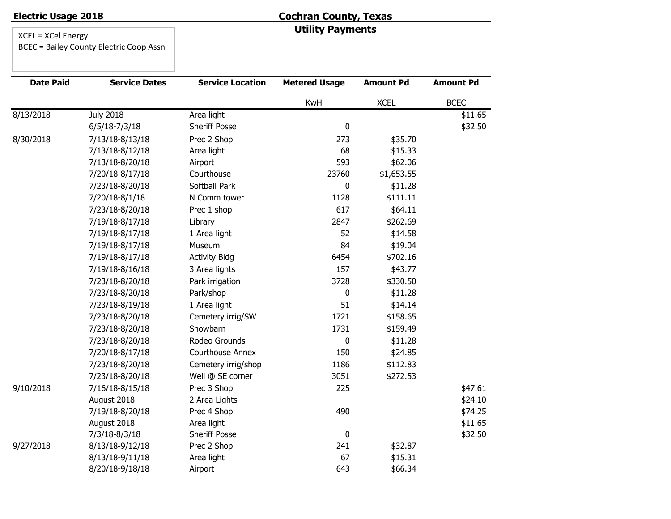# **Cochran County, Texas Utility Payments**

XCEL = XCel Energy

BCEC = Bailey County Electric Coop Assn

| <b>Date Paid</b> | <b>Service Dates</b> | <b>Service Location</b> | <b>Metered Usage</b> | <b>Amount Pd</b> | <b>Amount Pd</b> |
|------------------|----------------------|-------------------------|----------------------|------------------|------------------|
|                  |                      |                         | KwH                  | <b>XCEL</b>      | <b>BCEC</b>      |
| 8/13/2018        | <b>July 2018</b>     | Area light              |                      |                  | \$11.65          |
|                  | $6/5/18-7/3/18$      | <b>Sheriff Posse</b>    | $\mathbf 0$          |                  | \$32.50          |
| 8/30/2018        | 7/13/18-8/13/18      | Prec 2 Shop             | 273                  | \$35.70          |                  |
|                  | 7/13/18-8/12/18      | Area light              | 68                   | \$15.33          |                  |
|                  | 7/13/18-8/20/18      | Airport                 | 593                  | \$62.06          |                  |
|                  | 7/20/18-8/17/18      | Courthouse              | 23760                | \$1,653.55       |                  |
|                  | 7/23/18-8/20/18      | Softball Park           | 0                    | \$11.28          |                  |
|                  | 7/20/18-8/1/18       | N Comm tower            | 1128                 | \$111.11         |                  |
|                  | 7/23/18-8/20/18      | Prec 1 shop             | 617                  | \$64.11          |                  |
|                  | 7/19/18-8/17/18      | Library                 | 2847                 | \$262.69         |                  |
|                  | 7/19/18-8/17/18      | 1 Area light            | 52                   | \$14.58          |                  |
|                  | 7/19/18-8/17/18      | Museum                  | 84                   | \$19.04          |                  |
|                  | 7/19/18-8/17/18      | <b>Activity Bldg</b>    | 6454                 | \$702.16         |                  |
|                  | 7/19/18-8/16/18      | 3 Area lights           | 157                  | \$43.77          |                  |
|                  | 7/23/18-8/20/18      | Park irrigation         | 3728                 | \$330.50         |                  |
|                  | 7/23/18-8/20/18      | Park/shop               | 0                    | \$11.28          |                  |
|                  | 7/23/18-8/19/18      | 1 Area light            | 51                   | \$14.14          |                  |
|                  | 7/23/18-8/20/18      | Cemetery irrig/SW       | 1721                 | \$158.65         |                  |
|                  | 7/23/18-8/20/18      | Showbarn                | 1731                 | \$159.49         |                  |
|                  | 7/23/18-8/20/18      | Rodeo Grounds           | 0                    | \$11.28          |                  |
|                  | 7/20/18-8/17/18      | <b>Courthouse Annex</b> | 150                  | \$24.85          |                  |
|                  | 7/23/18-8/20/18      | Cemetery irrig/shop     | 1186                 | \$112.83         |                  |
|                  | 7/23/18-8/20/18      | Well @ SE corner        | 3051                 | \$272.53         |                  |
| 9/10/2018        | 7/16/18-8/15/18      | Prec 3 Shop             | 225                  |                  | \$47.61          |
|                  | August 2018          | 2 Area Lights           |                      |                  | \$24.10          |
|                  | 7/19/18-8/20/18      | Prec 4 Shop             | 490                  |                  | \$74.25          |
|                  | August 2018          | Area light              |                      |                  | \$11.65          |
|                  | 7/3/18-8/3/18        | Sheriff Posse           | $\pmb{0}$            |                  | \$32.50          |
| 9/27/2018        | 8/13/18-9/12/18      | Prec 2 Shop             | 241                  | \$32.87          |                  |
|                  | 8/13/18-9/11/18      | Area light              | 67                   | \$15.31          |                  |
|                  | 8/20/18-9/18/18      | Airport                 | 643                  | \$66.34          |                  |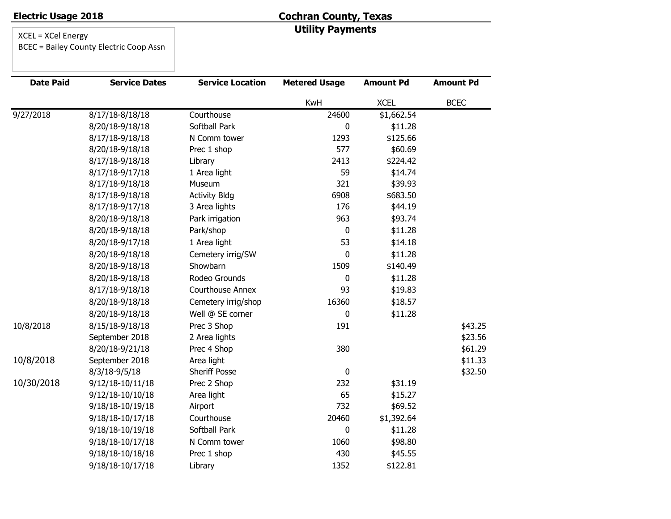# **Cochran County, Texas Utility Payments**

| <b>Date Paid</b> | <b>Service Dates</b> | <b>Service Location</b> | <b>Metered Usage</b> | <b>Amount Pd</b> | <b>Amount Pd</b> |
|------------------|----------------------|-------------------------|----------------------|------------------|------------------|
|                  |                      |                         | KwH                  | <b>XCEL</b>      | <b>BCEC</b>      |
| 9/27/2018        | 8/17/18-8/18/18      | Courthouse              | 24600                | \$1,662.54       |                  |
|                  | 8/20/18-9/18/18      | Softball Park           | 0                    | \$11.28          |                  |
|                  | 8/17/18-9/18/18      | N Comm tower            | 1293                 | \$125.66         |                  |
|                  | 8/20/18-9/18/18      | Prec 1 shop             | 577                  | \$60.69          |                  |
|                  | 8/17/18-9/18/18      | Library                 | 2413                 | \$224.42         |                  |
|                  | 8/17/18-9/17/18      | 1 Area light            | 59                   | \$14.74          |                  |
|                  | 8/17/18-9/18/18      | Museum                  | 321                  | \$39.93          |                  |
|                  | 8/17/18-9/18/18      | <b>Activity Bldg</b>    | 6908                 | \$683.50         |                  |
|                  | 8/17/18-9/17/18      | 3 Area lights           | 176                  | \$44.19          |                  |
|                  | 8/20/18-9/18/18      | Park irrigation         | 963                  | \$93.74          |                  |
|                  | 8/20/18-9/18/18      | Park/shop               | 0                    | \$11.28          |                  |
|                  | 8/20/18-9/17/18      | 1 Area light            | 53                   | \$14.18          |                  |
|                  | 8/20/18-9/18/18      | Cemetery irrig/SW       | 0                    | \$11.28          |                  |
|                  | 8/20/18-9/18/18      | Showbarn                | 1509                 | \$140.49         |                  |
|                  | 8/20/18-9/18/18      | Rodeo Grounds           | 0                    | \$11.28          |                  |
|                  | 8/17/18-9/18/18      | <b>Courthouse Annex</b> | 93                   | \$19.83          |                  |
|                  | 8/20/18-9/18/18      | Cemetery irrig/shop     | 16360                | \$18.57          |                  |
|                  | 8/20/18-9/18/18      | Well @ SE corner        | 0                    | \$11.28          |                  |
| 10/8/2018        | 8/15/18-9/18/18      | Prec 3 Shop             | 191                  |                  | \$43.25          |
|                  | September 2018       | 2 Area lights           |                      |                  | \$23.56          |
|                  | 8/20/18-9/21/18      | Prec 4 Shop             | 380                  |                  | \$61.29          |
| 10/8/2018        | September 2018       | Area light              |                      |                  | \$11.33          |
|                  | 8/3/18-9/5/18        | Sheriff Posse           | $\pmb{0}$            |                  | \$32.50          |
| 10/30/2018       | 9/12/18-10/11/18     | Prec 2 Shop             | 232                  | \$31.19          |                  |
|                  | 9/12/18-10/10/18     | Area light              | 65                   | \$15.27          |                  |
|                  | 9/18/18-10/19/18     | Airport                 | 732                  | \$69.52          |                  |
|                  | 9/18/18-10/17/18     | Courthouse              | 20460                | \$1,392.64       |                  |
|                  | 9/18/18-10/19/18     | Softball Park           | 0                    | \$11.28          |                  |
|                  | 9/18/18-10/17/18     | N Comm tower            | 1060                 | \$98.80          |                  |
|                  | 9/18/18-10/18/18     | Prec 1 shop             | 430                  | \$45.55          |                  |
|                  | 9/18/18-10/17/18     | Library                 | 1352                 | \$122.81         |                  |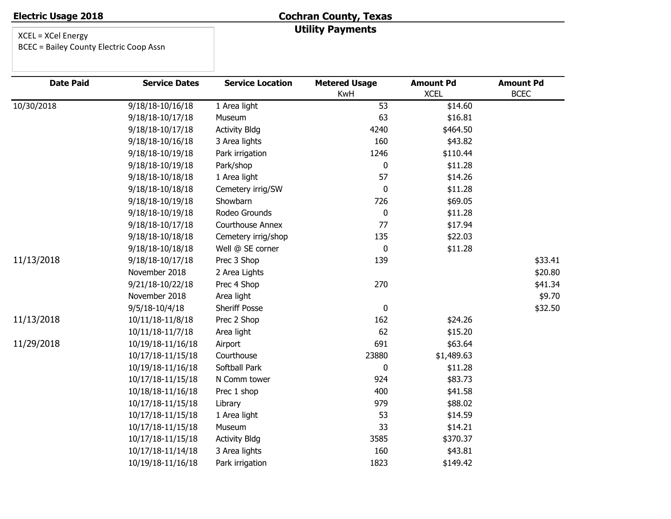#### **Cochran County, Texas Utility Payments**

| <b>Date Paid</b> | <b>Service Dates</b> | <b>Service Location</b> | <b>Metered Usage</b> | <b>Amount Pd</b> | <b>Amount Pd</b> |
|------------------|----------------------|-------------------------|----------------------|------------------|------------------|
|                  |                      |                         | <b>KwH</b>           | <b>XCEL</b>      | <b>BCEC</b>      |
| 10/30/2018       | 9/18/18-10/16/18     | 1 Area light            | 53                   | \$14.60          |                  |
|                  | 9/18/18-10/17/18     | Museum                  | 63                   | \$16.81          |                  |
|                  | 9/18/18-10/17/18     | <b>Activity Bldg</b>    | 4240                 | \$464.50         |                  |
|                  | 9/18/18-10/16/18     | 3 Area lights           | 160                  | \$43.82          |                  |
|                  | 9/18/18-10/19/18     | Park irrigation         | 1246                 | \$110.44         |                  |
|                  | 9/18/18-10/19/18     | Park/shop               | 0                    | \$11.28          |                  |
|                  | 9/18/18-10/18/18     | 1 Area light            | 57                   | \$14.26          |                  |
|                  | 9/18/18-10/18/18     | Cemetery irrig/SW       | 0                    | \$11.28          |                  |
|                  | 9/18/18-10/19/18     | Showbarn                | 726                  | \$69.05          |                  |
|                  | 9/18/18-10/19/18     | Rodeo Grounds           | 0                    | \$11.28          |                  |
|                  | 9/18/18-10/17/18     | <b>Courthouse Annex</b> | 77                   | \$17.94          |                  |
|                  | 9/18/18-10/18/18     | Cemetery irrig/shop     | 135                  | \$22.03          |                  |
|                  | 9/18/18-10/18/18     | Well @ SE corner        | 0                    | \$11.28          |                  |
| 11/13/2018       | 9/18/18-10/17/18     | Prec 3 Shop             | 139                  |                  | \$33.41          |
|                  | November 2018        | 2 Area Lights           |                      |                  | \$20.80          |
|                  | 9/21/18-10/22/18     | Prec 4 Shop             | 270                  |                  | \$41.34          |
|                  | November 2018        | Area light              |                      |                  | \$9.70           |
|                  | 9/5/18-10/4/18       | <b>Sheriff Posse</b>    | 0                    |                  | \$32.50          |
| 11/13/2018       | 10/11/18-11/8/18     | Prec 2 Shop             | 162                  | \$24.26          |                  |
|                  | 10/11/18-11/7/18     | Area light              | 62                   | \$15.20          |                  |
| 11/29/2018       | 10/19/18-11/16/18    | Airport                 | 691                  | \$63.64          |                  |
|                  | 10/17/18-11/15/18    | Courthouse              | 23880                | \$1,489.63       |                  |
|                  | 10/19/18-11/16/18    | Softball Park           | 0                    | \$11.28          |                  |
|                  | 10/17/18-11/15/18    | N Comm tower            | 924                  | \$83.73          |                  |
|                  | 10/18/18-11/16/18    | Prec 1 shop             | 400                  | \$41.58          |                  |
|                  | 10/17/18-11/15/18    | Library                 | 979                  | \$88.02          |                  |
|                  | 10/17/18-11/15/18    | 1 Area light            | 53                   | \$14.59          |                  |
|                  | 10/17/18-11/15/18    | Museum                  | 33                   | \$14.21          |                  |
|                  | 10/17/18-11/15/18    | <b>Activity Bldg</b>    | 3585                 | \$370.37         |                  |
|                  | 10/17/18-11/14/18    | 3 Area lights           | 160                  | \$43.81          |                  |
|                  | 10/19/18-11/16/18    | Park irrigation         | 1823                 | \$149.42         |                  |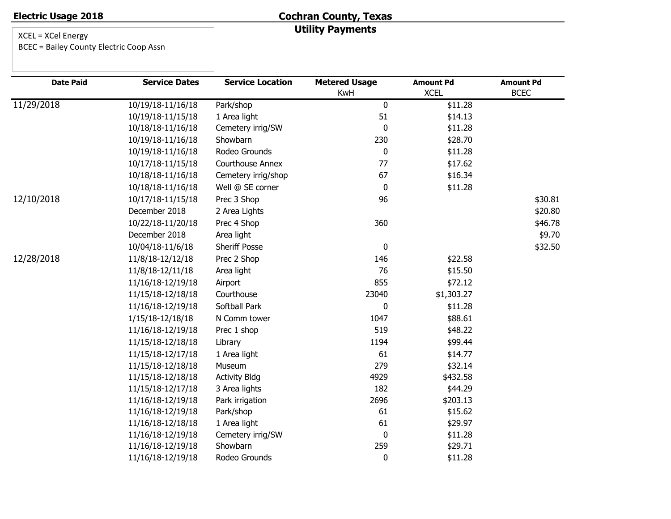# **Cochran County, Texas Utility Payments**

| <b>Date Paid</b> | <b>Service Dates</b> | <b>Service Location</b> | <b>Metered Usage</b> | <b>Amount Pd</b> | <b>Amount Pd</b> |
|------------------|----------------------|-------------------------|----------------------|------------------|------------------|
|                  |                      |                         | KwH                  | <b>XCEL</b>      | <b>BCEC</b>      |
| 11/29/2018       | 10/19/18-11/16/18    | Park/shop               | 0                    | \$11.28          |                  |
|                  | 10/19/18-11/15/18    | 1 Area light            | 51                   | \$14.13          |                  |
|                  | 10/18/18-11/16/18    | Cemetery irrig/SW       | $\pmb{0}$            | \$11.28          |                  |
|                  | 10/19/18-11/16/18    | Showbarn                | 230                  | \$28.70          |                  |
|                  | 10/19/18-11/16/18    | Rodeo Grounds           | $\pmb{0}$            | \$11.28          |                  |
|                  | 10/17/18-11/15/18    | Courthouse Annex        | 77                   | \$17.62          |                  |
|                  | 10/18/18-11/16/18    | Cemetery irrig/shop     | 67                   | \$16.34          |                  |
|                  | 10/18/18-11/16/18    | Well @ SE corner        | $\pmb{0}$            | \$11.28          |                  |
| 12/10/2018       | 10/17/18-11/15/18    | Prec 3 Shop             | 96                   |                  | \$30.81          |
|                  | December 2018        | 2 Area Lights           |                      |                  | \$20.80          |
|                  | 10/22/18-11/20/18    | Prec 4 Shop             | 360                  |                  | \$46.78          |
|                  | December 2018        | Area light              |                      |                  | \$9.70           |
|                  | 10/04/18-11/6/18     | <b>Sheriff Posse</b>    | $\pmb{0}$            |                  | \$32.50          |
| 12/28/2018       | 11/8/18-12/12/18     | Prec 2 Shop             | 146                  | \$22.58          |                  |
|                  | 11/8/18-12/11/18     | Area light              | 76                   | \$15.50          |                  |
|                  | 11/16/18-12/19/18    | Airport                 | 855                  | \$72.12          |                  |
|                  | 11/15/18-12/18/18    | Courthouse              | 23040                | \$1,303.27       |                  |
|                  | 11/16/18-12/19/18    | Softball Park           | $\mathbf 0$          | \$11.28          |                  |
|                  | 1/15/18-12/18/18     | N Comm tower            | 1047                 | \$88.61          |                  |
|                  | 11/16/18-12/19/18    | Prec 1 shop             | 519                  | \$48.22          |                  |
|                  | 11/15/18-12/18/18    | Library                 | 1194                 | \$99.44          |                  |
|                  | 11/15/18-12/17/18    | 1 Area light            | 61                   | \$14.77          |                  |
|                  | 11/15/18-12/18/18    | Museum                  | 279                  | \$32.14          |                  |
|                  | 11/15/18-12/18/18    | <b>Activity Bldg</b>    | 4929                 | \$432.58         |                  |
|                  | 11/15/18-12/17/18    | 3 Area lights           | 182                  | \$44.29          |                  |
|                  | 11/16/18-12/19/18    | Park irrigation         | 2696                 | \$203.13         |                  |
|                  | 11/16/18-12/19/18    | Park/shop               | 61                   | \$15.62          |                  |
|                  | 11/16/18-12/18/18    | 1 Area light            | 61                   | \$29.97          |                  |
|                  | 11/16/18-12/19/18    | Cemetery irrig/SW       | $\pmb{0}$            | \$11.28          |                  |
|                  | 11/16/18-12/19/18    | Showbarn                | 259                  | \$29.71          |                  |
|                  | 11/16/18-12/19/18    | Rodeo Grounds           | $\pmb{0}$            | \$11.28          |                  |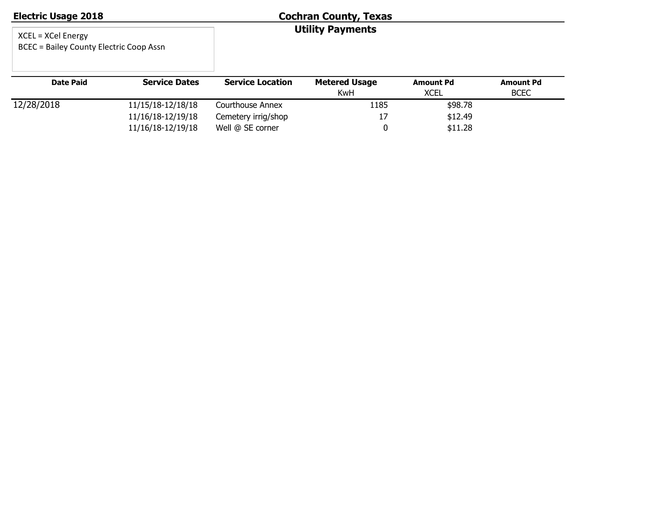| <b>Electric Usage 2018</b>                                              |                      | <b>Cochran County, Texas</b> |                             |                                 |                                 |  |  |
|-------------------------------------------------------------------------|----------------------|------------------------------|-----------------------------|---------------------------------|---------------------------------|--|--|
| $XCEL = XCell Energy$<br><b>BCEC = Bailey County Electric Coop Assn</b> |                      |                              | <b>Utility Payments</b>     |                                 |                                 |  |  |
| <b>Date Paid</b>                                                        | <b>Service Dates</b> | <b>Service Location</b>      | <b>Metered Usage</b><br>KwH | <b>Amount Pd</b><br><b>XCEL</b> | <b>Amount Pd</b><br><b>BCEC</b> |  |  |
| 12/28/2018                                                              | 11/15/18-12/18/18    | Courthouse Annex             | 1185                        | \$98.78                         |                                 |  |  |
|                                                                         | 11/16/18-12/19/18    | Cemetery irrig/shop          | 17                          | \$12.49                         |                                 |  |  |

11/16/18-12/19/18 Well @ SE corner 0 \$11.28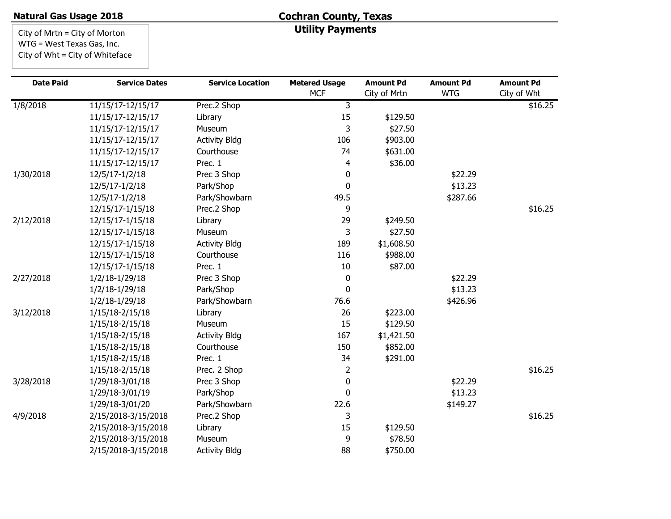# **Cochran County, Texas Utility Payments**

City of Mrtn = City of Morton WTG = West Texas Gas, Inc. City of Wht = City of Whiteface

| <b>Date Paid</b> | <b>Service Dates</b> | <b>Service Location</b> | <b>Metered Usage</b> | <b>Amount Pd</b> | <b>Amount Pd</b> | <b>Amount Pd</b> |
|------------------|----------------------|-------------------------|----------------------|------------------|------------------|------------------|
|                  |                      |                         | <b>MCF</b>           | City of Mrtn     | <b>WTG</b>       | City of Wht      |
| 1/8/2018         | 11/15/17-12/15/17    | Prec.2 Shop             | 3                    |                  |                  | \$16.25          |
|                  | 11/15/17-12/15/17    | Library                 | 15                   | \$129.50         |                  |                  |
|                  | 11/15/17-12/15/17    | Museum                  | 3                    | \$27.50          |                  |                  |
|                  | 11/15/17-12/15/17    | <b>Activity Bldg</b>    | 106                  | \$903.00         |                  |                  |
|                  | 11/15/17-12/15/17    | Courthouse              | 74                   | \$631.00         |                  |                  |
|                  | 11/15/17-12/15/17    | Prec. 1                 | 4                    | \$36.00          |                  |                  |
| 1/30/2018        | 12/5/17-1/2/18       | Prec 3 Shop             | 0                    |                  | \$22.29          |                  |
|                  | 12/5/17-1/2/18       | Park/Shop               | $\mathbf 0$          |                  | \$13.23          |                  |
|                  | 12/5/17-1/2/18       | Park/Showbarn           | 49.5                 |                  | \$287.66         |                  |
|                  | 12/15/17-1/15/18     | Prec.2 Shop             | 9                    |                  |                  | \$16.25          |
| 2/12/2018        | 12/15/17-1/15/18     | Library                 | 29                   | \$249.50         |                  |                  |
|                  | 12/15/17-1/15/18     | Museum                  | 3                    | \$27.50          |                  |                  |
|                  | 12/15/17-1/15/18     | <b>Activity Bldg</b>    | 189                  | \$1,608.50       |                  |                  |
|                  | 12/15/17-1/15/18     | Courthouse              | 116                  | \$988.00         |                  |                  |
|                  | 12/15/17-1/15/18     | Prec. 1                 | 10                   | \$87.00          |                  |                  |
| 2/27/2018        | 1/2/18-1/29/18       | Prec 3 Shop             | 0                    |                  | \$22.29          |                  |
|                  | 1/2/18-1/29/18       | Park/Shop               | $\mathbf 0$          |                  | \$13.23          |                  |
|                  | 1/2/18-1/29/18       | Park/Showbarn           | 76.6                 |                  | \$426.96         |                  |
| 3/12/2018        | 1/15/18-2/15/18      | Library                 | 26                   | \$223.00         |                  |                  |
|                  | 1/15/18-2/15/18      | Museum                  | 15                   | \$129.50         |                  |                  |
|                  | 1/15/18-2/15/18      | <b>Activity Bldg</b>    | 167                  | \$1,421.50       |                  |                  |
|                  | 1/15/18-2/15/18      | Courthouse              | 150                  | \$852.00         |                  |                  |
|                  | 1/15/18-2/15/18      | Prec. 1                 | 34                   | \$291.00         |                  |                  |
|                  | 1/15/18-2/15/18      | Prec. 2 Shop            | 2                    |                  |                  | \$16.25          |
| 3/28/2018        | 1/29/18-3/01/18      | Prec 3 Shop             | $\pmb{0}$            |                  | \$22.29          |                  |
|                  | 1/29/18-3/01/19      | Park/Shop               | 0                    |                  | \$13.23          |                  |
|                  | 1/29/18-3/01/20      | Park/Showbarn           | 22.6                 |                  | \$149.27         |                  |
| 4/9/2018         | 2/15/2018-3/15/2018  | Prec.2 Shop             | 3                    |                  |                  | \$16.25          |
|                  | 2/15/2018-3/15/2018  | Library                 | 15                   | \$129.50         |                  |                  |
|                  | 2/15/2018-3/15/2018  | Museum                  | 9                    | \$78.50          |                  |                  |
|                  | 2/15/2018-3/15/2018  | <b>Activity Bldg</b>    | 88                   | \$750.00         |                  |                  |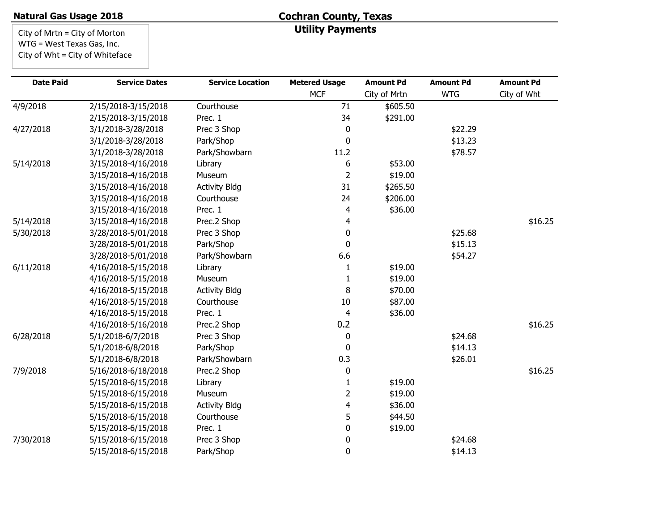# **Cochran County, Texas Utility Payments**

City of Mrtn = City of Morton WTG = West Texas Gas, Inc. City of Wht = City of Whiteface

| <b>Date Paid</b> | <b>Service Dates</b> | <b>Service Location</b> | <b>Metered Usage</b> | <b>Amount Pd</b> | <b>Amount Pd</b> | <b>Amount Pd</b> |
|------------------|----------------------|-------------------------|----------------------|------------------|------------------|------------------|
|                  |                      |                         | <b>MCF</b>           | City of Mrtn     | <b>WTG</b>       | City of Wht      |
| 4/9/2018         | 2/15/2018-3/15/2018  | Courthouse              | 71                   | \$605.50         |                  |                  |
|                  | 2/15/2018-3/15/2018  | Prec. 1                 | 34                   | \$291.00         |                  |                  |
| 4/27/2018        | 3/1/2018-3/28/2018   | Prec 3 Shop             | 0                    |                  | \$22.29          |                  |
|                  | 3/1/2018-3/28/2018   | Park/Shop               | $\mathbf{0}$         |                  | \$13.23          |                  |
|                  | 3/1/2018-3/28/2018   | Park/Showbarn           | 11.2                 |                  | \$78.57          |                  |
| 5/14/2018        | 3/15/2018-4/16/2018  | Library                 | 6                    | \$53.00          |                  |                  |
|                  | 3/15/2018-4/16/2018  | Museum                  | $\overline{2}$       | \$19.00          |                  |                  |
|                  | 3/15/2018-4/16/2018  | <b>Activity Bldg</b>    | 31                   | \$265.50         |                  |                  |
|                  | 3/15/2018-4/16/2018  | Courthouse              | 24                   | \$206.00         |                  |                  |
|                  | 3/15/2018-4/16/2018  | Prec. 1                 | 4                    | \$36.00          |                  |                  |
| 5/14/2018        | 3/15/2018-4/16/2018  | Prec.2 Shop             | 4                    |                  |                  | \$16.25          |
| 5/30/2018        | 3/28/2018-5/01/2018  | Prec 3 Shop             | 0                    |                  | \$25.68          |                  |
|                  | 3/28/2018-5/01/2018  | Park/Shop               | 0                    |                  | \$15.13          |                  |
|                  | 3/28/2018-5/01/2018  | Park/Showbarn           | 6.6                  |                  | \$54.27          |                  |
| 6/11/2018        | 4/16/2018-5/15/2018  | Library                 | 1                    | \$19.00          |                  |                  |
|                  | 4/16/2018-5/15/2018  | Museum                  | 1                    | \$19.00          |                  |                  |
|                  | 4/16/2018-5/15/2018  | <b>Activity Bldg</b>    | 8                    | \$70.00          |                  |                  |
|                  | 4/16/2018-5/15/2018  | Courthouse              | 10                   | \$87.00          |                  |                  |
|                  | 4/16/2018-5/15/2018  | Prec. 1                 | 4                    | \$36.00          |                  |                  |
|                  | 4/16/2018-5/16/2018  | Prec.2 Shop             | 0.2                  |                  |                  | \$16.25          |
| 6/28/2018        | 5/1/2018-6/7/2018    | Prec 3 Shop             | 0                    |                  | \$24.68          |                  |
|                  | 5/1/2018-6/8/2018    | Park/Shop               | $\mathbf{0}$         |                  | \$14.13          |                  |
|                  | 5/1/2018-6/8/2018    | Park/Showbarn           | 0.3                  |                  | \$26.01          |                  |
| 7/9/2018         | 5/16/2018-6/18/2018  | Prec.2 Shop             | 0                    |                  |                  | \$16.25          |
|                  | 5/15/2018-6/15/2018  | Library                 | 1                    | \$19.00          |                  |                  |
|                  | 5/15/2018-6/15/2018  | Museum                  | $\overline{2}$       | \$19.00          |                  |                  |
|                  | 5/15/2018-6/15/2018  | <b>Activity Bldg</b>    | 4                    | \$36.00          |                  |                  |
|                  | 5/15/2018-6/15/2018  | Courthouse              | 5                    | \$44.50          |                  |                  |
|                  | 5/15/2018-6/15/2018  | Prec. 1                 | 0                    | \$19.00          |                  |                  |
| 7/30/2018        | 5/15/2018-6/15/2018  | Prec 3 Shop             | 0                    |                  | \$24.68          |                  |
|                  | 5/15/2018-6/15/2018  | Park/Shop               | $\mathbf 0$          |                  | \$14.13          |                  |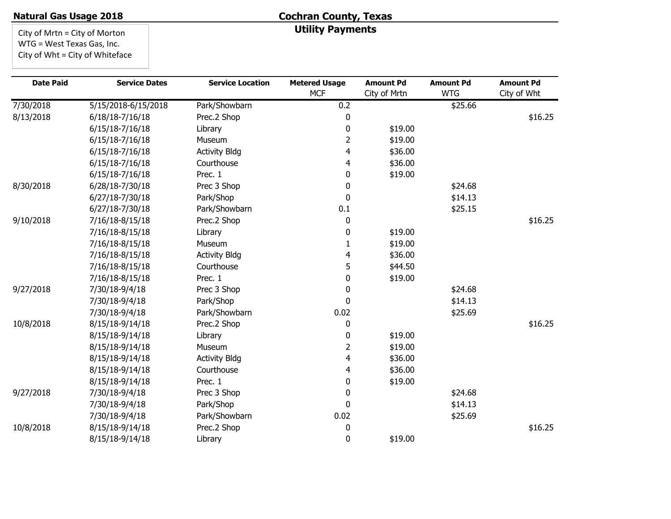# **Cochran County, Texas Utility Payments**

City of Mrtn = City of Morton WTG = West Texas Gas, Inc. City of Wht = City of Whiteface

| <b>Date Paid</b> | <b>Service Dates</b> | <b>Service Location</b> | <b>Metered Usage</b> | <b>Amount Pd</b> | <b>Amount Pd</b> | <b>Amount Pd</b> |
|------------------|----------------------|-------------------------|----------------------|------------------|------------------|------------------|
|                  |                      |                         | <b>MCF</b>           | City of Mrtn     | <b>WTG</b>       | City of Wht      |
| 7/30/2018        | 5/15/2018-6/15/2018  | Park/Showbarn           | 0.2                  |                  | \$25.66          |                  |
| 8/13/2018        | 6/18/18-7/16/18      | Prec.2 Shop             | 0                    |                  |                  | \$16.25          |
|                  | 6/15/18-7/16/18      | Library                 | 0                    | \$19.00          |                  |                  |
|                  | $6/15/18-7/16/18$    | Museum                  | $\overline{2}$       | \$19.00          |                  |                  |
|                  | 6/15/18-7/16/18      | <b>Activity Bldg</b>    | 4                    | \$36.00          |                  |                  |
|                  | 6/15/18-7/16/18      | Courthouse              | 4                    | \$36.00          |                  |                  |
|                  | 6/15/18-7/16/18      | Prec. 1                 | 0                    | \$19.00          |                  |                  |
| 8/30/2018        | 6/28/18-7/30/18      | Prec 3 Shop             | $\mathbf 0$          |                  | \$24.68          |                  |
|                  | 6/27/18-7/30/18      | Park/Shop               | 0                    |                  | \$14.13          |                  |
|                  | 6/27/18-7/30/18      | Park/Showbarn           | 0.1                  |                  | \$25.15          |                  |
| 9/10/2018        | 7/16/18-8/15/18      | Prec.2 Shop             | 0                    |                  |                  | \$16.25          |
|                  | 7/16/18-8/15/18      | Library                 | 0                    | \$19.00          |                  |                  |
|                  | 7/16/18-8/15/18      | Museum                  | 1                    | \$19.00          |                  |                  |
|                  | 7/16/18-8/15/18      | <b>Activity Bldg</b>    | 4                    | \$36.00          |                  |                  |
|                  | 7/16/18-8/15/18      | Courthouse              | 5                    | \$44.50          |                  |                  |
|                  | 7/16/18-8/15/18      | Prec. 1                 | 0                    | \$19.00          |                  |                  |
| 9/27/2018        | 7/30/18-9/4/18       | Prec 3 Shop             | 0                    |                  | \$24.68          |                  |
|                  | 7/30/18-9/4/18       | Park/Shop               | 0                    |                  | \$14.13          |                  |
|                  | 7/30/18-9/4/18       | Park/Showbarn           | 0.02                 |                  | \$25.69          |                  |
| 10/8/2018        | 8/15/18-9/14/18      | Prec.2 Shop             | 0                    |                  |                  | \$16.25          |
|                  | 8/15/18-9/14/18      | Library                 | 0                    | \$19.00          |                  |                  |
|                  | 8/15/18-9/14/18      | Museum                  | $\overline{2}$       | \$19.00          |                  |                  |
|                  | 8/15/18-9/14/18      | <b>Activity Bldg</b>    | 4                    | \$36.00          |                  |                  |
|                  | 8/15/18-9/14/18      | Courthouse              | 4                    | \$36.00          |                  |                  |
|                  | 8/15/18-9/14/18      | Prec. 1                 | 0                    | \$19.00          |                  |                  |
| 9/27/2018        | 7/30/18-9/4/18       | Prec 3 Shop             | 0                    |                  | \$24.68          |                  |
|                  | 7/30/18-9/4/18       | Park/Shop               | 0                    |                  | \$14.13          |                  |
|                  | 7/30/18-9/4/18       | Park/Showbarn           | 0.02                 |                  | \$25.69          |                  |
| 10/8/2018        | 8/15/18-9/14/18      | Prec.2 Shop             | 0                    |                  |                  | \$16.25          |
|                  | 8/15/18-9/14/18      | Library                 | 0                    | \$19.00          |                  |                  |